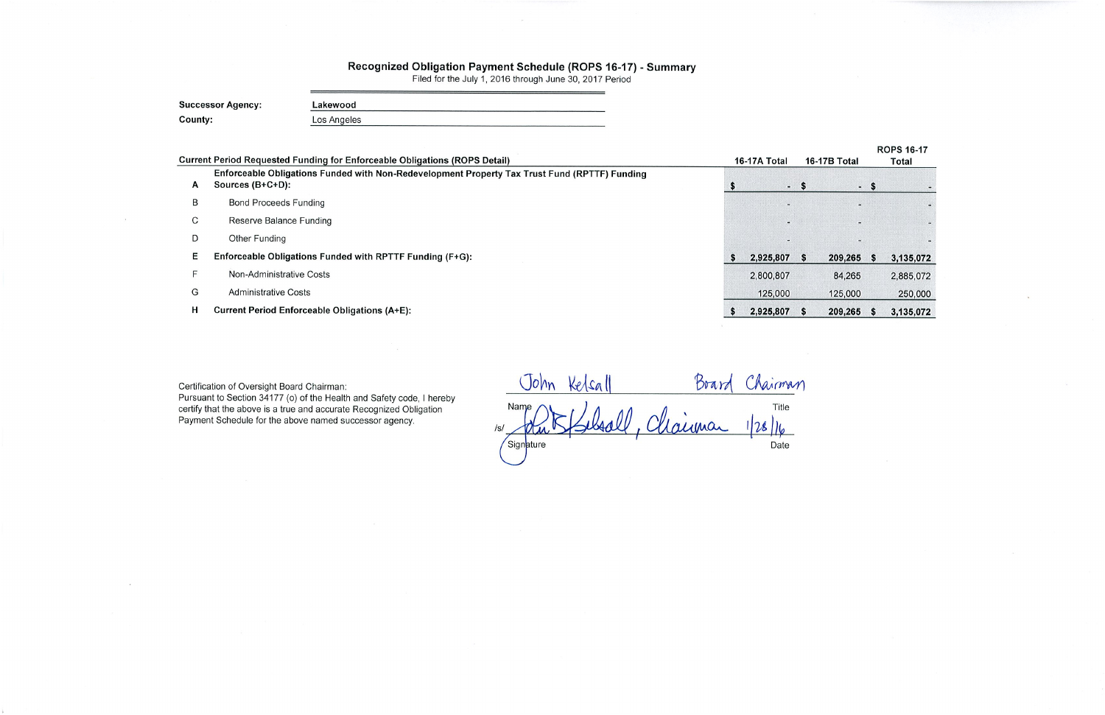## Recognized Obligation Payment Schedule (ROPS 16-17) - Summary<br>Filed for the July 1, 2016 through June 30, 2017 Period

| <b>Successor Agency:</b> | Lakewood    |  |  |  |  |  |  |
|--------------------------|-------------|--|--|--|--|--|--|
| County:                  | Los Angeles |  |  |  |  |  |  |

|                                                                                                                   |                                                                                   |           |              |                                      | <b>ROPS 16-17</b><br>Total |                                  |  |
|-------------------------------------------------------------------------------------------------------------------|-----------------------------------------------------------------------------------|-----------|--------------|--------------------------------------|----------------------------|----------------------------------|--|
| Enforceable Obligations Funded with Non-Redevelopment Property Tax Trust Fund (RPTTF) Funding<br>Sources (B+C+D): |                                                                                   |           |              |                                      |                            |                                  |  |
| <b>Bond Proceeds Funding</b>                                                                                      |                                                                                   |           |              |                                      |                            |                                  |  |
| Reserve Balance Funding                                                                                           |                                                                                   |           |              |                                      |                            |                                  |  |
| Other Funding                                                                                                     |                                                                                   |           |              |                                      |                            |                                  |  |
| Enforceable Obligations Funded with RPTTF Funding (F+G):                                                          |                                                                                   |           |              |                                      |                            | 3,135,072                        |  |
| Non-Administrative Costs                                                                                          |                                                                                   | 2,800,807 |              | 84,265                               |                            | 2,885,072                        |  |
| <b>Administrative Costs</b>                                                                                       |                                                                                   | 125,000   |              | 125,000                              |                            | 250,000                          |  |
| <b>Current Period Enforceable Obligations (A+E):</b>                                                              |                                                                                   |           |              |                                      |                            | 3,135,072                        |  |
|                                                                                                                   | <b>Current Period Requested Funding for Enforceable Obligations (ROPS Detail)</b> |           | 16-17A Total | - \$<br>2,925,807 \$<br>2,925,807 \$ | <b>16-17B Total</b>        | - \$<br>209,265 \$<br>209,265 \$ |  |

Certification of Oversight Board Chairman:

Pursuant to Section 34177 (o) of the Health and Safety code, I hereby certify that the above is a true and accurate Recognized Obligation<br>Payment Schedule for the above named successor agency.

Board Chairman John Kelsall OD. Chairman Title  $128||6$ Date Signature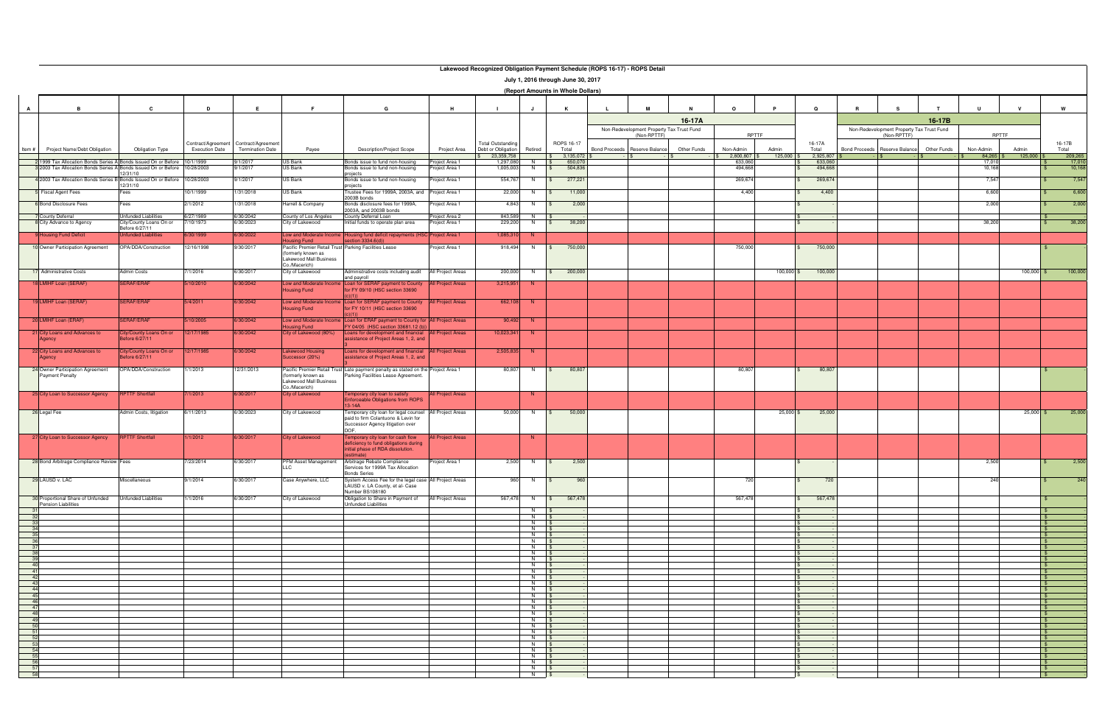|                | Lakewood Recognized Obligation Payment Schedule (ROPS 16-17) - ROPS Detail                                                       |                                              |                         |                                       |                                                                                                  |                                                                                                                 |                                 |                                  |                                  |                                   |                              |                                                          |             |                              |                  |                    |                      |                                                          |             |                     |                       |                  |
|----------------|----------------------------------------------------------------------------------------------------------------------------------|----------------------------------------------|-------------------------|---------------------------------------|--------------------------------------------------------------------------------------------------|-----------------------------------------------------------------------------------------------------------------|---------------------------------|----------------------------------|----------------------------------|-----------------------------------|------------------------------|----------------------------------------------------------|-------------|------------------------------|------------------|--------------------|----------------------|----------------------------------------------------------|-------------|---------------------|-----------------------|------------------|
|                | July 1, 2016 through June 30, 2017                                                                                               |                                              |                         |                                       |                                                                                                  |                                                                                                                 |                                 |                                  |                                  |                                   |                              |                                                          |             |                              |                  |                    |                      |                                                          |             |                     |                       |                  |
|                | (Report Amounts in Whole Dollars)                                                                                                |                                              |                         |                                       |                                                                                                  |                                                                                                                 |                                 |                                  |                                  |                                   |                              |                                                          |             |                              |                  |                    |                      |                                                          |             |                     |                       |                  |
| $\mathbf{A}$   | $\overline{B}$                                                                                                                   | $\mathbf{c}$                                 | D                       | E                                     | E                                                                                                | G                                                                                                               | H                               |                                  | J.                               | K                                 |                              | м                                                        |             | $\Omega$                     |                  | $\Omega$           |                      | s.                                                       |             |                     |                       | W                |
|                |                                                                                                                                  |                                              |                         |                                       |                                                                                                  |                                                                                                                 |                                 |                                  |                                  |                                   |                              |                                                          | 16-17A      |                              |                  |                    |                      |                                                          | 16-17B      |                     |                       |                  |
|                |                                                                                                                                  |                                              |                         |                                       |                                                                                                  |                                                                                                                 |                                 |                                  |                                  |                                   |                              | Non-Redevelopment Property Tax Trust Fund<br>(Non-RPTTF) |             | RPTTF                        |                  |                    |                      | Non-Redevelopment Property Tax Trust Fund<br>(Non-RPTTF) |             | RPTTF               |                       |                  |
|                |                                                                                                                                  |                                              |                         | Contract/Agreement Contract/Agreement |                                                                                                  |                                                                                                                 |                                 | <b>Total Outstanding</b>         |                                  | ROPS 16-17                        |                              |                                                          |             |                              |                  | 16-17A             |                      |                                                          |             |                     |                       | 16-17B           |
| Item #         | Project Name/Debt Obligation                                                                                                     | <b>Obligation Type</b>                       | <b>Execution Date</b>   | <b>Termination Date</b>               | Payee                                                                                            | <b>Description/Project Scope</b>                                                                                | Project Area                    | Debt or Obligation<br>23,359,758 | Retired                          | Total<br>$$3,135,072$ \$          | Bond Proceeds Reserve Balanc |                                                          | Other Funds | Non-Admin<br>$32,800,807$ \$ | Admin<br>125,000 | Total<br>2,925,807 | <b>Bond Proceeds</b> | Reserve Balance                                          | Other Funds | Non-Admin<br>84,265 | Admin<br>$125,000$ \$ | Total<br>209,265 |
|                | 2 1999 Tax Allocation Bonds Series A Bonds Issued On or Before<br>3 2003 Tax Allocation Bonds Series A Bonds Issued On or Before |                                              | 10/1/1999<br>10/28/2003 | 9/1/2017<br>9/1/2017                  | US Bank<br>US Bank                                                                               | onds issue to fund non-housing<br>Bonds issue to fund non-housing                                               | roject Area 1<br>roject Area 1  | 1,297,080<br>1,005,003           | N \$<br>N                        | 650,07<br>504,836<br>$\mathbf{s}$ |                              |                                                          |             | 633,060<br>494,668           |                  | 633,060<br>494,668 |                      |                                                          |             | 17,010<br>10,168    |                       | 17,010<br>10,168 |
|                | 4 2003 Tax Allocation Bonds Series B Bonds Issued On or Before 10/28/2003                                                        | 2/31/10                                      |                         | 9/1/2017                              | US Bank                                                                                          | roiects<br>Bonds issue to fund non-housing                                                                      | roject Area 1                   | 554,767                          | N.                               | 277,221<br>S.                     |                              |                                                          |             | 269,674                      |                  | 269,674            |                      |                                                          |             | 7,547               |                       | 7,547            |
|                | <b>Fiscal Agent Fees</b>                                                                                                         | 2/31/10<br>=ees                              | 10/1/1999               | 1/31/2018                             | US Bank                                                                                          | projects<br>Trustee Fees for 1999A, 2003A, and                                                                  | Project Area 1                  | 22,000                           | N                                | 11,000<br>-SS                     |                              |                                                          |             | 4,400                        |                  | 4,400              |                      |                                                          |             | 6,600               |                       | 6,600            |
|                | <b>Bond Disclosure Fees</b>                                                                                                      | $\overline{\phantom{a}}$ ees                 | 2/1/2012                | 1/31/2018                             | <b>Harrell &amp; Company</b>                                                                     | 2003B bonds<br>Bonds disclosure fees for 1999A,                                                                 | Project Area 1                  | 4,843                            | - N                              | 2,000                             |                              |                                                          |             |                              |                  |                    |                      |                                                          |             | 2,000               |                       | 2,000            |
|                | County Deferral                                                                                                                  | Unfunded Liabilities                         | 6/27/1989               | 6/30/2042                             |                                                                                                  | 2003A, and 2003B bonds<br>County Deferral Loan                                                                  |                                 | 843,589                          | N                                |                                   |                              |                                                          |             |                              |                  |                    |                      |                                                          |             |                     |                       |                  |
|                | City Advance to Agency                                                                                                           | City/County Loans On or                      | /10/1973                | 6/30/2023                             | County of Los Angeles<br>City of Lakewood                                                        | nitial funds to operate plan area                                                                               | Project Area 2<br>roject Area 1 | 229,200                          | N                                | 38,200                            |                              |                                                          |             |                              |                  |                    |                      |                                                          |             | 38,200              |                       | 38,200           |
|                | <b>Housing Fund Deficit</b>                                                                                                      | efore 6/27/11<br><b>Infunded Liabilities</b> | 6/30/1999               | 6/30/2022                             | ow and Moderate Incom                                                                            | Housing fund deficit repayments (HSC Project Area 1                                                             |                                 | 1,085,310                        | N                                |                                   |                              |                                                          |             |                              |                  |                    |                      |                                                          |             |                     |                       |                  |
|                | 10 Owner Participation Agreement                                                                                                 | OPA/DDA/Construction                         | 12/16/1998              | 9/30/2017                             | ousing Fund<br>Pacific Premier Retail Trust Parking Facilities Lease                             | : c <sub>tion</sub> 3334.6(d)                                                                                   | Project Area 1                  | 918,494                          | N                                | 750,000<br>$\mathbb{S}$           |                              |                                                          |             | 750,000                      |                  | 750,000            |                      |                                                          |             |                     |                       |                  |
|                |                                                                                                                                  |                                              |                         |                                       | (formerly known as<br>Lakewood Mall Business                                                     |                                                                                                                 |                                 |                                  |                                  |                                   |                              |                                                          |             |                              |                  |                    |                      |                                                          |             |                     |                       |                  |
|                | 17 Administrative Costs                                                                                                          | Admin Costs                                  | /1/2016                 | 6/30/2017                             | Co./Macerich)<br>City of Lakewood                                                                | Administrative costs including audit                                                                            | All Project Areas               | 200,000                          | N                                | 200,000<br>$\mathbb{S}$           |                              |                                                          |             |                              | $100,000$ \$     | 100,000            |                      |                                                          |             |                     | $100,000$ \$          | 100,000          |
|                | 18 LMIHF Loan (SERAF)                                                                                                            | <b>ERAF/ERAF</b>                             | 5/10/2010               | 6/30/2042                             | ow and Moderate Incom                                                                            | and payroll<br>Loan for SERAF payment to County                                                                 | <b>All Project Areas</b>        | 3,215,951                        | - N                              |                                   |                              |                                                          |             |                              |                  |                    |                      |                                                          |             |                     |                       |                  |
|                |                                                                                                                                  |                                              |                         |                                       | lousing Fund                                                                                     | or FY 09/10 (HSC section 33690                                                                                  |                                 |                                  |                                  |                                   |                              |                                                          |             |                              |                  |                    |                      |                                                          |             |                     |                       |                  |
|                | 19 LMIHF Loan (SERAF)                                                                                                            | <b>SERAF/ERAF</b>                            | 5/4/2011                | 6/30/2042                             | ow and Moderate Incom<br>lousing Fund                                                            | Loan for SERAF payment to County<br>or FY 10/11 (HSC section 33690                                              | <b>All Project Areas</b>        | 662,108                          |                                  |                                   |                              |                                                          |             |                              |                  |                    |                      |                                                          |             |                     |                       |                  |
|                | 20 LMIHF Loan (ERAF)                                                                                                             | <b>ERAF/ERAF</b>                             | 5/10/2005               | 6/30/2042                             | Low and Moderate Incom                                                                           | Loan for ERAF payment to County for All Project Areas                                                           |                                 | 90,492                           | -N                               |                                   |                              |                                                          |             |                              |                  |                    |                      |                                                          |             |                     |                       |                  |
|                | 21 City Loans and Advances to                                                                                                    | City/County Loans On or                      | 12/17/1985              | 6/30/2042                             | ousing Fund<br>City of Lakewood (80%)                                                            | FY 04/05 (HSC section 33681.12 (b)<br>Loans for development and financial All Project Areas                     |                                 | 10,023,341                       | -N                               |                                   |                              |                                                          |             |                              |                  |                    |                      |                                                          |             |                     |                       |                  |
|                | Agency                                                                                                                           | efore 6/27/11                                |                         |                                       |                                                                                                  | assistance of Project Areas 1, 2, and                                                                           |                                 |                                  |                                  |                                   |                              |                                                          |             |                              |                  |                    |                      |                                                          |             |                     |                       |                  |
|                | 22 City Loans and Advances to<br>Agency                                                                                          | City/County Loans On or<br>fore 6/27/11      | 12/17/1985              | 6/30/2042                             | akewood Housing<br>Successor (20%)                                                               | Loans for development and financial All Project Areas<br>ssistance of Project Areas 1, 2, and                   |                                 | 2,505,835                        | - N                              |                                   |                              |                                                          |             |                              |                  |                    |                      |                                                          |             |                     |                       |                  |
|                | 24 Owner Participation Agreement<br><b>Payment Penalty</b>                                                                       | OPA/DDA/Construction                         | 1/1/2013                | 12/31/2013                            | Pacific Premier Retail T<br>(formerly known as<br><b>Lakewood Mall Business</b><br>Co./Macerich) | Late payment penalty as stated on the Project Area 1<br>Parking Facilities Lease Agreement.                     |                                 | 80,807                           | <b>N</b>                         | 80,807<br>S.                      |                              |                                                          |             | 80,807                       |                  | 80,807             |                      |                                                          |             |                     |                       |                  |
|                | 25 City Loan to Successor Agency                                                                                                 | <b>RPTTF Shortfall</b>                       | 7/1/2013                | 6/30/2017                             | <b>City of Lakewood</b>                                                                          | Temporary city loan to satisfy<br>inforceable Obligations from ROPS                                             | <b>All Project Areas</b>        |                                  | -N                               |                                   |                              |                                                          |             |                              |                  |                    |                      |                                                          |             |                     |                       |                  |
|                | 26 Legal Fee                                                                                                                     | Admin Costs, litigation                      | 6/11/2013               | 6/30/2023                             | City of Lakewood                                                                                 | $3-14A$<br>Temporary city loan for legal counsel                                                                | All Project Areas               | 50,000                           | N                                | 50,000<br>$\mathbf{s}$            |                              |                                                          |             |                              | 25,000           | 25,000             |                      |                                                          |             |                     | $25,000$ \$           | 25,000           |
|                |                                                                                                                                  |                                              |                         |                                       |                                                                                                  | paid to firm Colantuono & Levin for<br>Successor Agency litigation over<br>DOF.                                 |                                 |                                  |                                  |                                   |                              |                                                          |             |                              |                  |                    |                      |                                                          |             |                     |                       |                  |
|                | 27 City Loan to Successor Agency                                                                                                 | <b>RPTTF Shortfall</b>                       | 1/1/2012                | 6/30/2017                             | <b>City of Lakewood</b>                                                                          | Temporary city loan for cash flow<br>deficiency to fund obligations during<br>initial phase of RDA dissolution. | <b>All Project Areas</b>        |                                  | N.                               |                                   |                              |                                                          |             |                              |                  |                    |                      |                                                          |             |                     |                       |                  |
|                | 28 Bond Arbitrage Compliance Review Fees                                                                                         |                                              | 7/23/2014               | 6/30/2017                             | PFM Asset Management                                                                             | stimate)<br>Arbitrage Rebate Compliance<br>Services for 1999A Tax Allocation                                    | Project Area 1                  | 2,500                            | N \$                             | 2,500                             |                              |                                                          |             |                              |                  |                    |                      |                                                          |             | 2,500               |                       | 2,500            |
|                | 29 LAUSD v. LAC                                                                                                                  | Miscellaneous                                | 9/1/2014                | 6/30/2017                             | LLC<br>Case Anywhere, LLC                                                                        | Bonds Series<br>System Access Fee for the legal case All Project Areas                                          |                                 | 960                              | N \$                             | 960                               |                              |                                                          |             | 720                          |                  | 720                |                      |                                                          |             | 240                 |                       | 240              |
|                | 30 Proportional Share of Unfunded                                                                                                | <b>Unfunded Liabilities</b>                  | 1/1/2016                | 6/30/2017                             | City of Lakewood                                                                                 | LAUSD v. LA County, et al- Case<br>Number BS108180<br>Obligation to Share in Payment of                         | All Project Areas               | 567,478                          |                                  | N   \$ 567,478                    |                              |                                                          |             | 567,478                      |                  | 567,478            |                      |                                                          |             |                     |                       |                  |
| 31             | <b>Pension Liabilities</b>                                                                                                       |                                              |                         |                                       |                                                                                                  | Infunded Liabilities                                                                                            |                                 |                                  | N   \$                           |                                   |                              |                                                          |             |                              |                  |                    |                      |                                                          |             |                     |                       |                  |
| 32<br>33       |                                                                                                                                  |                                              |                         |                                       |                                                                                                  |                                                                                                                 |                                 |                                  | $N$ $\sqrt{S}$<br>$N$ \$         |                                   |                              |                                                          |             |                              |                  |                    |                      |                                                          |             |                     |                       | - \$             |
| 34             |                                                                                                                                  |                                              |                         |                                       |                                                                                                  |                                                                                                                 |                                 |                                  | $N$ $S$                          |                                   |                              |                                                          |             |                              |                  |                    |                      |                                                          |             |                     |                       |                  |
| 35<br>36       |                                                                                                                                  |                                              |                         |                                       |                                                                                                  |                                                                                                                 |                                 |                                  | N \$<br>$N$ \$                   |                                   |                              |                                                          |             |                              |                  |                    |                      |                                                          |             |                     |                       | - \$             |
| 37<br>38       |                                                                                                                                  |                                              |                         |                                       |                                                                                                  |                                                                                                                 |                                 |                                  | $N$ \$<br>N \$                   |                                   |                              |                                                          |             |                              |                  |                    |                      |                                                          |             |                     |                       | - \$             |
| 39             |                                                                                                                                  |                                              |                         |                                       |                                                                                                  |                                                                                                                 |                                 |                                  | N \$                             |                                   |                              |                                                          |             |                              |                  |                    |                      |                                                          |             |                     |                       |                  |
| $-40$<br>$-41$ |                                                                                                                                  |                                              |                         |                                       |                                                                                                  |                                                                                                                 |                                 |                                  | $N$ $\sqrt{S}$<br>$N$ $\sqrt{s}$ |                                   |                              |                                                          |             |                              |                  |                    |                      |                                                          |             |                     |                       | - 56             |
| 42             |                                                                                                                                  |                                              |                         |                                       |                                                                                                  |                                                                                                                 |                                 |                                  | $N$ \$<br>$N$ \$                 |                                   |                              |                                                          |             |                              |                  |                    |                      |                                                          |             |                     |                       | - SS<br>- \$     |
| $-43$<br>44    |                                                                                                                                  |                                              |                         |                                       |                                                                                                  |                                                                                                                 |                                 |                                  | $N$ $\sqrt{S}$                   |                                   |                              |                                                          |             |                              |                  |                    |                      |                                                          |             |                     |                       |                  |
| 45<br>46       |                                                                                                                                  |                                              |                         |                                       |                                                                                                  |                                                                                                                 |                                 |                                  | $N$ \$<br>$N$ \$                 |                                   |                              |                                                          |             |                              |                  |                    |                      |                                                          |             |                     |                       | - \$<br>- \$     |
| 47             |                                                                                                                                  |                                              |                         |                                       |                                                                                                  |                                                                                                                 |                                 |                                  | N \$                             |                                   |                              |                                                          |             |                              |                  |                    |                      |                                                          |             |                     |                       | - \$             |
| 48<br>49       |                                                                                                                                  |                                              |                         |                                       |                                                                                                  |                                                                                                                 |                                 |                                  | N \$<br>$N$ $s$                  |                                   |                              |                                                          |             |                              |                  |                    |                      |                                                          |             |                     |                       | - \$<br>- 56     |
| 50             |                                                                                                                                  |                                              |                         |                                       |                                                                                                  |                                                                                                                 |                                 |                                  | $N$ \$                           |                                   |                              |                                                          |             |                              |                  |                    |                      |                                                          |             |                     |                       |                  |
| 51<br>52       |                                                                                                                                  |                                              |                         |                                       |                                                                                                  |                                                                                                                 |                                 |                                  | $N$ $\sqrt{S}$<br>$N \quad S$    |                                   |                              |                                                          |             |                              |                  |                    |                      |                                                          |             |                     |                       |                  |
| 53             |                                                                                                                                  |                                              |                         |                                       |                                                                                                  |                                                                                                                 |                                 |                                  | $N$ $\sqrt{s}$                   |                                   |                              |                                                          |             |                              |                  |                    |                      |                                                          |             |                     |                       |                  |
| 54<br>55       |                                                                                                                                  |                                              |                         |                                       |                                                                                                  |                                                                                                                 |                                 |                                  | $N$ \$<br>N \$                   |                                   |                              |                                                          |             |                              |                  |                    |                      |                                                          |             |                     |                       | - \$             |
| 56             |                                                                                                                                  |                                              |                         |                                       |                                                                                                  |                                                                                                                 |                                 |                                  | $N \quad$ \$                     |                                   |                              |                                                          |             |                              |                  |                    |                      |                                                          |             |                     |                       |                  |
| 57             |                                                                                                                                  |                                              |                         |                                       |                                                                                                  |                                                                                                                 |                                 |                                  | $N$ $\sqrt{S}$                   |                                   |                              |                                                          |             |                              |                  |                    |                      |                                                          |             |                     |                       | \$               |
| 58             |                                                                                                                                  |                                              |                         |                                       |                                                                                                  |                                                                                                                 |                                 |                                  | N \$                             |                                   |                              |                                                          |             |                              |                  |                    |                      |                                                          |             |                     |                       |                  |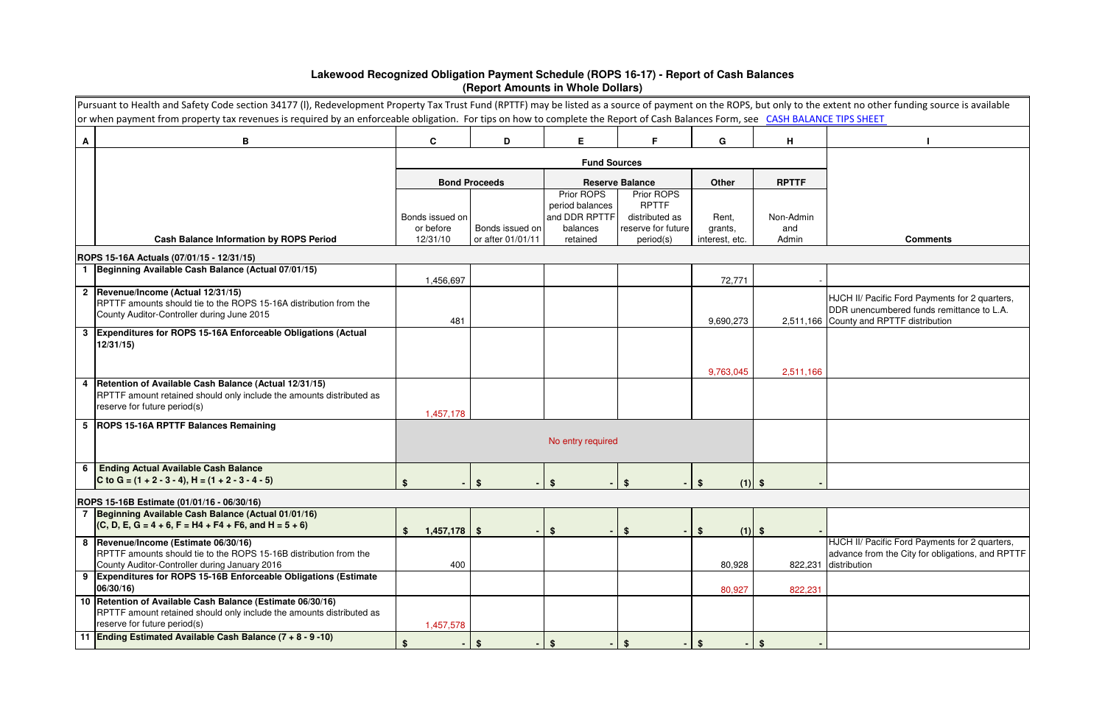|                                           | Pursuant to Health and Safety Code section 34177 (I), Redevelopment Property Tax Trust Fund (RPTTF) may be listed as a source of payment on the ROPS, but only to the extent no other funding source is available<br>or when payment from property tax revenues is required by an enforceable obligation. For tips on how to complete the Report of Cash Balances Form, see CASH BALANCE TIPS SHEET |                       |                                      |                               |                                 |                           |              |                                                                                                                                        |  |  |  |  |
|-------------------------------------------|-----------------------------------------------------------------------------------------------------------------------------------------------------------------------------------------------------------------------------------------------------------------------------------------------------------------------------------------------------------------------------------------------------|-----------------------|--------------------------------------|-------------------------------|---------------------------------|---------------------------|--------------|----------------------------------------------------------------------------------------------------------------------------------------|--|--|--|--|
| A                                         | B                                                                                                                                                                                                                                                                                                                                                                                                   | $\mathbf{C}$          | D                                    | E.                            | F.                              | G                         | н            |                                                                                                                                        |  |  |  |  |
|                                           |                                                                                                                                                                                                                                                                                                                                                                                                     |                       |                                      |                               |                                 |                           |              |                                                                                                                                        |  |  |  |  |
|                                           |                                                                                                                                                                                                                                                                                                                                                                                                     |                       | <b>Bond Proceeds</b>                 |                               | <b>Reserve Balance</b>          | <b>Other</b>              | <b>RPTTF</b> |                                                                                                                                        |  |  |  |  |
|                                           |                                                                                                                                                                                                                                                                                                                                                                                                     |                       |                                      | Prior ROPS<br>period balances | Prior ROPS<br><b>RPTTF</b>      |                           |              |                                                                                                                                        |  |  |  |  |
|                                           |                                                                                                                                                                                                                                                                                                                                                                                                     | Bonds issued on       |                                      | and DDR RPTTF                 | distributed as                  | Rent,                     | Non-Admin    |                                                                                                                                        |  |  |  |  |
|                                           | <b>Cash Balance Information by ROPS Period</b>                                                                                                                                                                                                                                                                                                                                                      | or before<br>12/31/10 | Bonds issued on<br>or after 01/01/11 | balances<br>retained          | reserve for future<br>period(s) | grants,<br>interest, etc. | and<br>Admin | <b>Comments</b>                                                                                                                        |  |  |  |  |
| ROPS 15-16A Actuals (07/01/15 - 12/31/15) |                                                                                                                                                                                                                                                                                                                                                                                                     |                       |                                      |                               |                                 |                           |              |                                                                                                                                        |  |  |  |  |
|                                           | 1 Beginning Available Cash Balance (Actual 07/01/15)                                                                                                                                                                                                                                                                                                                                                | 1,456,697             |                                      |                               |                                 | 72,771                    |              |                                                                                                                                        |  |  |  |  |
|                                           | 2  Revenue/Income (Actual 12/31/15)<br>RPTTF amounts should tie to the ROPS 15-16A distribution from the<br>County Auditor-Controller during June 2015                                                                                                                                                                                                                                              | 481                   |                                      |                               |                                 | 9,690,273                 |              | HJCH II/ Pacific Ford Payments for 2 quarters,<br>DDR unencumbered funds remittance to L.A.<br>2,511,166 County and RPTTF distribution |  |  |  |  |
|                                           | 3 Expenditures for ROPS 15-16A Enforceable Obligations (Actual<br>12/31/15                                                                                                                                                                                                                                                                                                                          |                       |                                      |                               |                                 |                           |              |                                                                                                                                        |  |  |  |  |
|                                           | 4   Retention of Available Cash Balance (Actual 12/31/15)<br>RPTTF amount retained should only include the amounts distributed as<br>reserve for future period(s)                                                                                                                                                                                                                                   | 1,457,178             |                                      |                               |                                 | 9,763,045                 | 2,511,166    |                                                                                                                                        |  |  |  |  |
|                                           | 5   ROPS 15-16A RPTTF Balances Remaining                                                                                                                                                                                                                                                                                                                                                            |                       |                                      | No entry required             |                                 |                           |              |                                                                                                                                        |  |  |  |  |
|                                           | 6 Ending Actual Available Cash Balance<br>C to G = $(1 + 2 - 3 - 4)$ , H = $(1 + 2 - 3 - 4 - 5)$                                                                                                                                                                                                                                                                                                    |                       |                                      |                               |                                 | $(1)$ \$                  |              |                                                                                                                                        |  |  |  |  |
|                                           | ROPS 15-16B Estimate (01/01/16 - 06/30/16)                                                                                                                                                                                                                                                                                                                                                          |                       |                                      |                               |                                 |                           |              |                                                                                                                                        |  |  |  |  |
|                                           | 7 Beginning Available Cash Balance (Actual 01/01/16)<br>$(C, D, E, G = 4 + 6, F = H4 + F4 + F6, and H = 5 + 6)$                                                                                                                                                                                                                                                                                     | $1,457,178$ \$<br>\$  |                                      | $\boldsymbol{\mathsf{s}}$     | - \$                            | \$<br>$(1)$ \$            |              |                                                                                                                                        |  |  |  |  |
|                                           | 8  Revenue/Income (Estimate 06/30/16)<br>RPTTF amounts should tie to the ROPS 15-16B distribution from the<br>County Auditor-Controller during January 2016                                                                                                                                                                                                                                         | 400                   |                                      |                               |                                 | 80,928                    |              | HJCH II/ Pacific Ford Payments for 2 quarters,<br>advance from the City for obligations, and RPTTF<br>822,231 distribution             |  |  |  |  |
|                                           | 9 Expenditures for ROPS 15-16B Enforceable Obligations (Estimate<br>06/30/16)                                                                                                                                                                                                                                                                                                                       |                       |                                      |                               |                                 | 80,927                    | 822,231      |                                                                                                                                        |  |  |  |  |
|                                           | 10 Retention of Available Cash Balance (Estimate 06/30/16)<br>RPTTF amount retained should only include the amounts distributed as<br>reserve for future period(s)                                                                                                                                                                                                                                  | 1,457,578             |                                      |                               |                                 |                           |              |                                                                                                                                        |  |  |  |  |
|                                           | 11 Ending Estimated Available Cash Balance (7 + 8 - 9 -10)                                                                                                                                                                                                                                                                                                                                          | $$^{\circ}$           | \$                                   | \$<br>$\sim$                  | <b>S</b>                        | \$                        | \$.          |                                                                                                                                        |  |  |  |  |

## **Lakewood Recognized Obligation Payment Schedule (ROPS 16-17) - Report of Cash Balances (Report Amounts in Whole Dollars)**